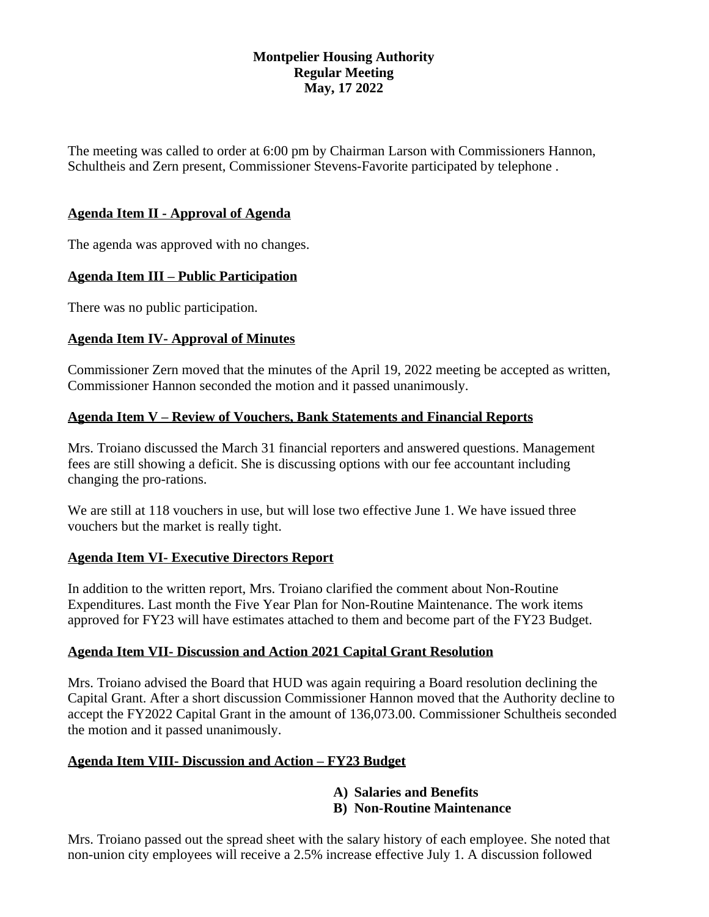## **Montpelier Housing Authority Regular Meeting May, 17 2022**

The meeting was called to order at 6:00 pm by Chairman Larson with Commissioners Hannon, Schultheis and Zern present, Commissioner Stevens-Favorite participated by telephone .

# **Agenda Item II - Approval of Agenda**

The agenda was approved with no changes.

## **Agenda Item III – Public Participation**

There was no public participation.

## **Agenda Item IV- Approval of Minutes**

Commissioner Zern moved that the minutes of the April 19, 2022 meeting be accepted as written, Commissioner Hannon seconded the motion and it passed unanimously.

## **Agenda Item V – Review of Vouchers, Bank Statements and Financial Reports**

Mrs. Troiano discussed the March 31 financial reporters and answered questions. Management fees are still showing a deficit. She is discussing options with our fee accountant including changing the pro-rations.

We are still at 118 vouchers in use, but will lose two effective June 1. We have issued three vouchers but the market is really tight.

# **Agenda Item VI- Executive Directors Report**

In addition to the written report, Mrs. Troiano clarified the comment about Non-Routine Expenditures. Last month the Five Year Plan for Non-Routine Maintenance. The work items approved for FY23 will have estimates attached to them and become part of the FY23 Budget.

#### **Agenda Item VII- Discussion and Action 2021 Capital Grant Resolution**

Mrs. Troiano advised the Board that HUD was again requiring a Board resolution declining the Capital Grant. After a short discussion Commissioner Hannon moved that the Authority decline to accept the FY2022 Capital Grant in the amount of 136,073.00. Commissioner Schultheis seconded the motion and it passed unanimously.

# **Agenda Item VIII- Discussion and Action – FY23 Budget**

#### **A) Salaries and Benefits B) Non-Routine Maintenance**

Mrs. Troiano passed out the spread sheet with the salary history of each employee. She noted that non-union city employees will receive a 2.5% increase effective July 1. A discussion followed